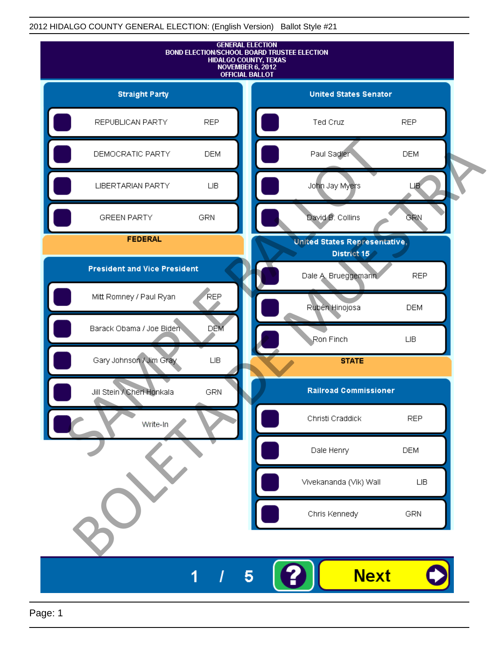

Page: 1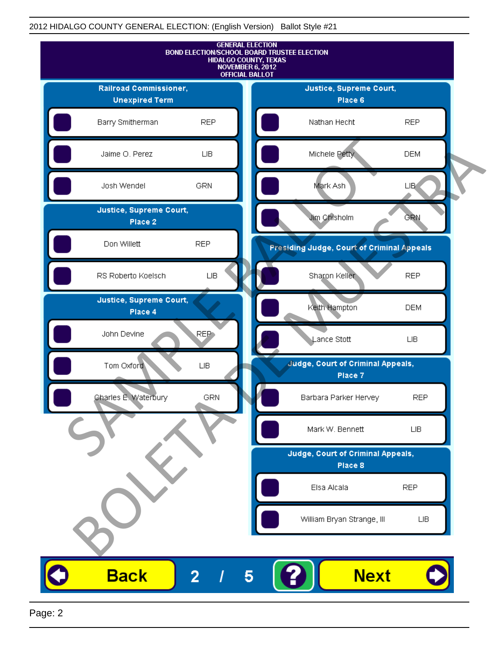

Page: 2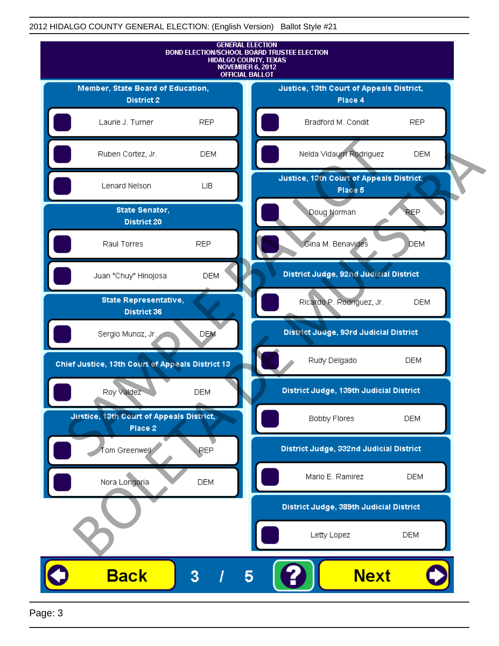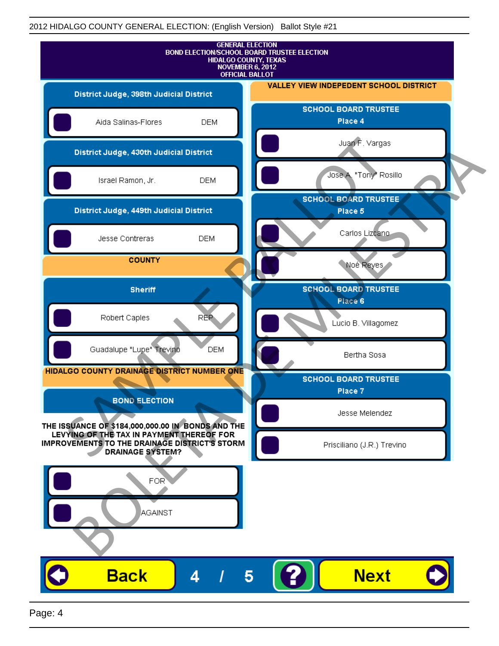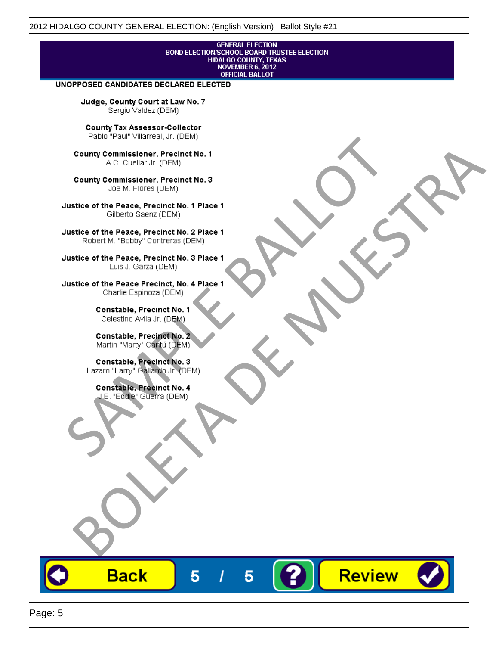## **GENERAL ELECTION** BOND ELECTION/SCHOOL BOARD TRUSTEE ELECTION<br>HIDALGO COUNTY, TEXAS<br>NOVEMBER 6, 2012 **OFFICIAL BALLOT**

Review

#### UNOPPOSED CANDIDATES DECLARED ELECTED

Judge, County Court at Law No. 7 Sergio Valdez (DEM)

County Tax Assessor-Collector

Fall Paul Visitera, Precinct No. 1<br>
County Commissioner, Precinct No. 1<br>
SAC. Cutellar Jr. (DEM)<br>
County Commissioner, Precinct No. 2<br>
Ulattice of the Peace, Precinct No. 2 Place 1<br>
Counter M. "Bobby" Contrers (DEM)<br>
Ulatt County Commissioner, Precinct No. 1<br>
Accounts: A County Commissioner, Precinct No. 3<br>
Use of the Peace, Precinct No. 1<br>
Siste of the Peace, Precinct No. 1<br>
There is a control of the County Commission (DEM)<br>
There is a cont

**Back** 

5

5

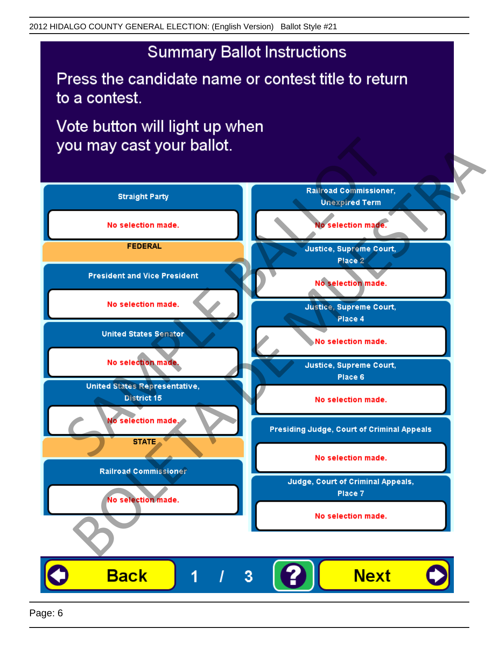# **Summary Ballot Instructions**

Press the candidate name or contest title to return to a contest.

Vote button will light up when

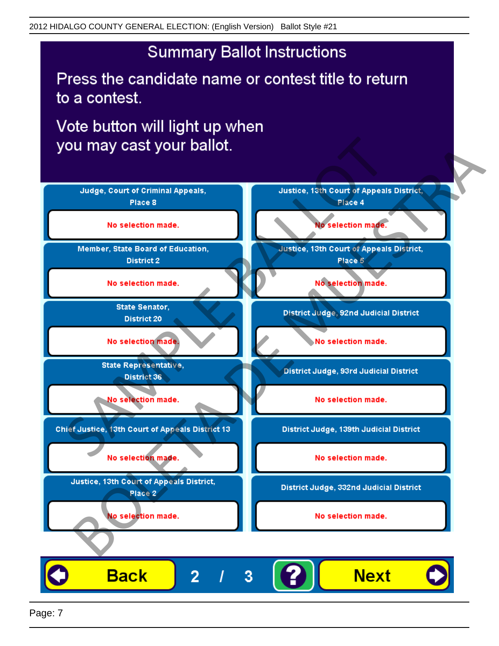# **Summary Ballot Instructions**

Press the candidate name or contest title to return to a contest.

Vote button will light up when



Page: 7